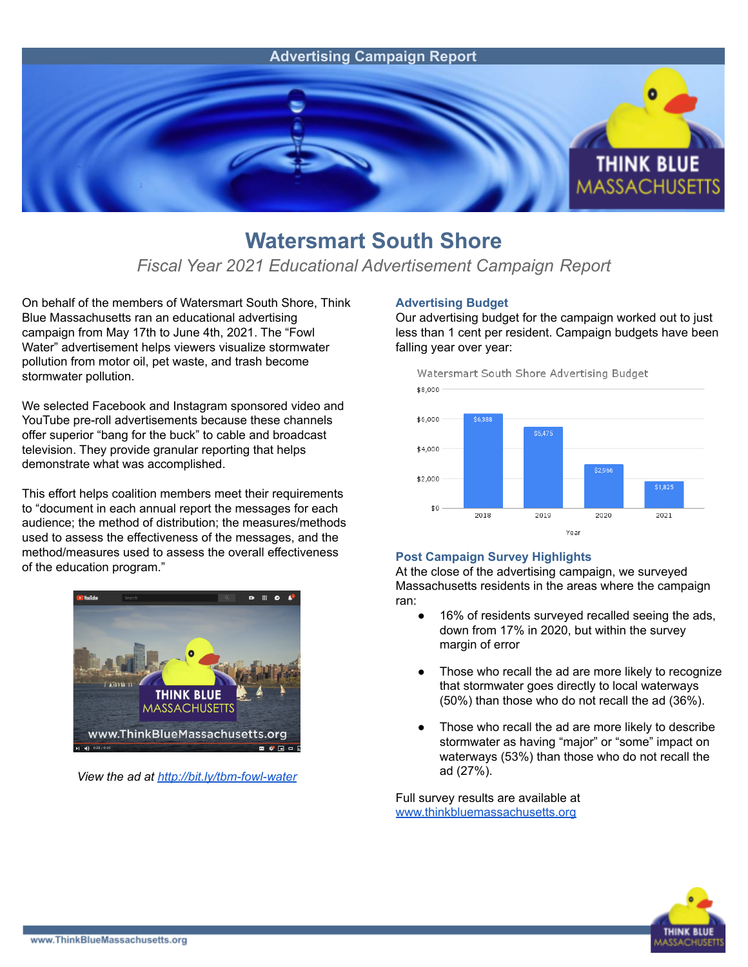

## **Watersmart South Shore**

### *Fiscal Year 2021 Educational Advertisement Campaign Report*

On behalf of the members of Watersmart South Shore, Think Blue Massachusetts ran an educational advertising campaign from May 17th to June 4th, 2021. The "Fowl Water" advertisement helps viewers visualize stormwater pollution from motor oil, pet waste, and trash become stormwater pollution.

We selected Facebook and Instagram sponsored video and YouTube pre-roll advertisements because these channels offer superior "bang for the buck" to cable and broadcast television. They provide granular reporting that helps demonstrate what was accomplished.

This effort helps coalition members meet their requirements to "document in each annual report the messages for each audience; the method of distribution; the measures/methods used to assess the effectiveness of the messages, and the method/measures used to assess the overall effectiveness of the education program."



*View the ad at <http://bit.ly/tbm-fowl-water>*

#### **Advertising Budget**

Our advertising budget for the campaign worked out to just less than 1 cent per resident. Campaign budgets have been falling year over year:



#### **Post Campaign Survey Highlights**

At the close of the advertising campaign, we surveyed Massachusetts residents in the areas where the campaign ran:

- 16% of residents surveyed recalled seeing the ads, down from 17% in 2020, but within the survey margin of error
- Those who recall the ad are more likely to recognize that stormwater goes directly to local waterways (50%) than those who do not recall the ad (36%).
- Those who recall the ad are more likely to describe stormwater as having "major" or "some" impact on waterways (53%) than those who do not recall the ad (27%).

Full survey results are available at [www.thinkbluemassachusetts.org](http://www.thinkbluemassachusetts.org)